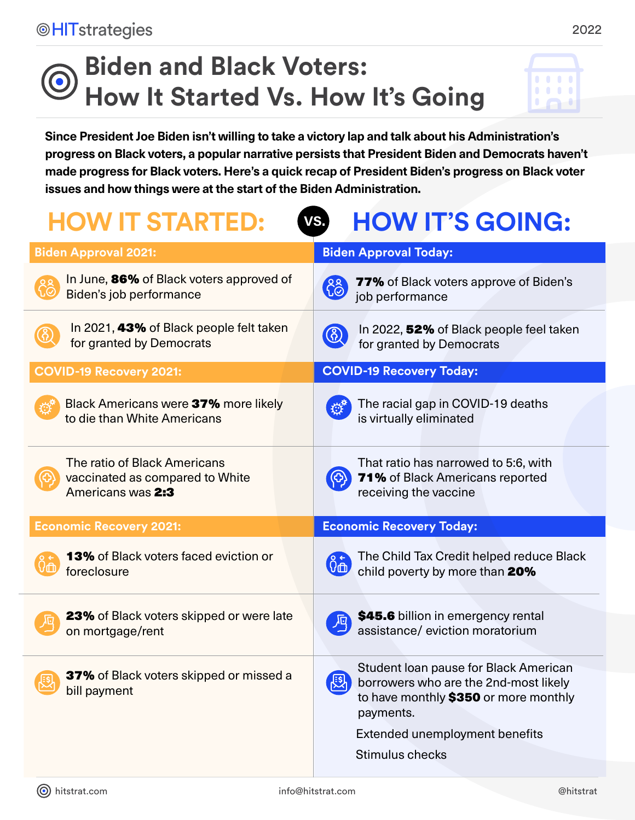# **Biden and Black Voters: How It Started Vs. How It's Going**

**Since President Joe Biden isn't willing to take a victory lap and talk about his Administration's progress on Black voters, a popular narrative persists that President Biden and Democrats haven't made progress for Black voters. Here's a quick recap of President Biden's progress on Black voter issues and how things were at the start of the Biden Administration.** 

| <b>HOW IT STARTED:</b>                                                               | <b>HOW IT'S GOING:</b><br>VS.                                                                     |
|--------------------------------------------------------------------------------------|---------------------------------------------------------------------------------------------------|
| <b>Biden Approval 2021:</b>                                                          | <b>Biden Approval Today:</b>                                                                      |
| In June, 86% of Black voters approved of<br>Biden's job performance                  | <b>77%</b> of Black voters approve of Biden's<br>job performance                                  |
| In 2021, 43% of Black people felt taken<br>for granted by Democrats                  | In 2022, 52% of Black people feel taken<br>$\bigcircled{3}$<br>for granted by Democrats           |
| <b>COVID-19 Recovery 2021:</b>                                                       | <b>COVID-19 Recovery Today:</b>                                                                   |
| Black Americans were 37% more likely<br>to die than White Americans                  | The racial gap in COVID-19 deaths<br>తి<br>is virtually eliminated                                |
| The ratio of Black Americans<br>vaccinated as compared to White<br>Americans was 2:3 | That ratio has narrowed to 5:6, with<br>71% of Black Americans reported<br>receiving the vaccine  |
| <b>Economic Recovery 2021:</b>                                                       | <b>Economic Recovery Today:</b>                                                                   |
| <b>13%</b> of Black voters faced eviction or<br>foreclosure                          | The Child Tax Credit helped reduce Black<br>$\delta_{\text{m}}$<br>child poverty by more than 20% |
| 23% of Black voters skipped or were late<br>on mortgage/rent                         | \$45.6 billion in emergency rental<br>冯<br>assistance/ eviction moratorium                        |
| 37% of Black voters skipped or missed a<br>bill payment                              | Student Ioan pause for Black American<br>閦<br>borrowers who are the 2nd-most likely               |
|                                                                                      | to have monthly \$350 or more monthly<br>payments.                                                |
|                                                                                      | Extended unemployment benefits                                                                    |